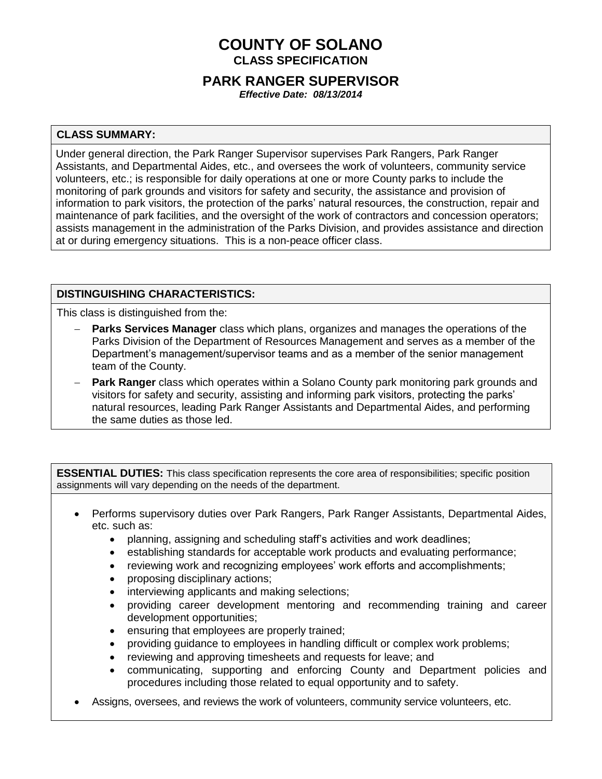# **COUNTY OF SOLANO CLASS SPECIFICATION**

## **PARK RANGER SUPERVISOR**

*Effective Date: 08/13/2014*

## **CLASS SUMMARY:**

Under general direction, the Park Ranger Supervisor supervises Park Rangers, Park Ranger Assistants, and Departmental Aides, etc., and oversees the work of volunteers, community service volunteers, etc.; is responsible for daily operations at one or more County parks to include the monitoring of park grounds and visitors for safety and security, the assistance and provision of information to park visitors, the protection of the parks' natural resources, the construction, repair and maintenance of park facilities, and the oversight of the work of contractors and concession operators; assists management in the administration of the Parks Division, and provides assistance and direction at or during emergency situations. This is a non-peace officer class.

## **DISTINGUISHING CHARACTERISTICS:**

This class is distinguished from the:

- **Parks Services Manager** class which plans, organizes and manages the operations of the Parks Division of the Department of Resources Management and serves as a member of the Department's management/supervisor teams and as a member of the senior management team of the County.
- **Park Ranger** class which operates within a Solano County park monitoring park grounds and visitors for safety and security, assisting and informing park visitors, protecting the parks' natural resources, leading Park Ranger Assistants and Departmental Aides, and performing the same duties as those led.

**ESSENTIAL DUTIES:** This class specification represents the core area of responsibilities; specific position assignments will vary depending on the needs of the department.

- Performs supervisory duties over Park Rangers, Park Ranger Assistants, Departmental Aides, etc. such as:
	- planning, assigning and scheduling staff's activities and work deadlines;
	- establishing standards for acceptable work products and evaluating performance;
	- reviewing work and recognizing employees' work efforts and accomplishments;
	- proposing disciplinary actions;
	- interviewing applicants and making selections;
	- providing career development mentoring and recommending training and career development opportunities;
	- ensuring that employees are properly trained;
	- providing guidance to employees in handling difficult or complex work problems;
	- reviewing and approving timesheets and requests for leave; and
	- communicating, supporting and enforcing County and Department policies and procedures including those related to equal opportunity and to safety.
- Assigns, oversees, and reviews the work of volunteers, community service volunteers, etc.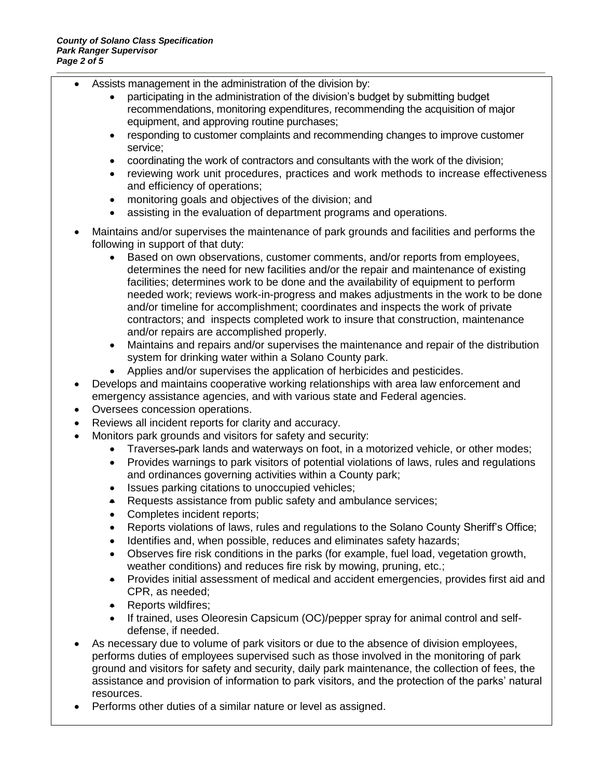- Assists management in the administration of the division by:
	- participating in the administration of the division's budget by submitting budget recommendations, monitoring expenditures, recommending the acquisition of major equipment, and approving routine purchases;
	- responding to customer complaints and recommending changes to improve customer service;
	- coordinating the work of contractors and consultants with the work of the division;
	- reviewing work unit procedures, practices and work methods to increase effectiveness and efficiency of operations;
	- monitoring goals and objectives of the division; and
	- assisting in the evaluation of department programs and operations.
- Maintains and/or supervises the maintenance of park grounds and facilities and performs the following in support of that duty:
	- Based on own observations, customer comments, and/or reports from employees, determines the need for new facilities and/or the repair and maintenance of existing facilities; determines work to be done and the availability of equipment to perform needed work; reviews work-in-progress and makes adjustments in the work to be done and/or timeline for accomplishment; coordinates and inspects the work of private contractors; and inspects completed work to insure that construction, maintenance and/or repairs are accomplished properly.
	- Maintains and repairs and/or supervises the maintenance and repair of the distribution system for drinking water within a Solano County park.
	- Applies and/or supervises the application of herbicides and pesticides.
- Develops and maintains cooperative working relationships with area law enforcement and emergency assistance agencies, and with various state and Federal agencies.
- Oversees concession operations.
- Reviews all incident reports for clarity and accuracy.
	- Monitors park grounds and visitors for safety and security:
		- Traverses park lands and waterways on foot, in a motorized vehicle, or other modes;
		- Provides warnings to park visitors of potential violations of laws, rules and regulations and ordinances governing activities within a County park;
		- Issues parking citations to unoccupied vehicles;
		- Requests assistance from public safety and ambulance services;
		- Completes incident reports;
		- Reports violations of laws, rules and regulations to the Solano County Sheriff's Office;
		- Identifies and, when possible, reduces and eliminates safety hazards;
		- Observes fire risk conditions in the parks (for example, fuel load, vegetation growth, weather conditions) and reduces fire risk by mowing, pruning, etc.;
		- Provides initial assessment of medical and accident emergencies, provides first aid and CPR, as needed;
		- Reports wildfires;
		- If trained, uses Oleoresin Capsicum (OC)/pepper spray for animal control and selfdefense, if needed.
- As necessary due to volume of park visitors or due to the absence of division employees, performs duties of employees supervised such as those involved in the monitoring of park ground and visitors for safety and security, daily park maintenance, the collection of fees, the assistance and provision of information to park visitors, and the protection of the parks' natural resources.
- Performs other duties of a similar nature or level as assigned.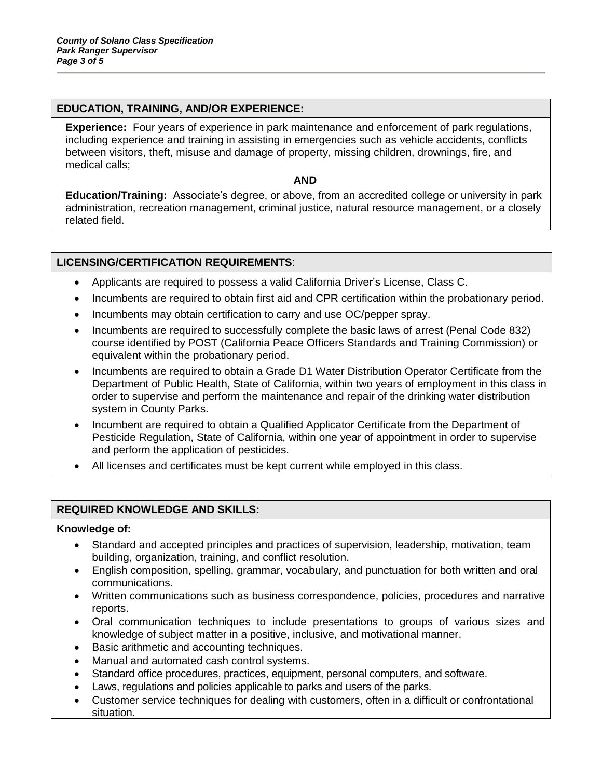## **EDUCATION, TRAINING, AND/OR EXPERIENCE:**

**Experience:** Four years of experience in park maintenance and enforcement of park regulations, including experience and training in assisting in emergencies such as vehicle accidents, conflicts between visitors, theft, misuse and damage of property, missing children, drownings, fire, and medical calls;

#### **AND**

**Education/Training:** Associate's degree, or above, from an accredited college or university in park administration, recreation management, criminal justice, natural resource management, or a closely related field.

## **LICENSING/CERTIFICATION REQUIREMENTS**:

- Applicants are required to possess a valid California Driver's License, Class C.
- Incumbents are required to obtain first aid and CPR certification within the probationary period.
- Incumbents may obtain certification to carry and use OC/pepper spray.
- Incumbents are required to successfully complete the basic laws of arrest (Penal Code 832) course identified by POST (California Peace Officers Standards and Training Commission) or equivalent within the probationary period.
- Incumbents are required to obtain a Grade D1 Water Distribution Operator Certificate from the Department of Public Health, State of California, within two years of employment in this class in order to supervise and perform the maintenance and repair of the drinking water distribution system in County Parks.
- Incumbent are required to obtain a Qualified Applicator Certificate from the Department of Pesticide Regulation, State of California, within one year of appointment in order to supervise and perform the application of pesticides.
- All licenses and certificates must be kept current while employed in this class.

## **REQUIRED KNOWLEDGE AND SKILLS:**

#### **Knowledge of:**

- Standard and accepted principles and practices of supervision, leadership, motivation, team building, organization, training, and conflict resolution.
- English composition, spelling, grammar, vocabulary, and punctuation for both written and oral communications.
- Written communications such as business correspondence, policies, procedures and narrative reports.
- Oral communication techniques to include presentations to groups of various sizes and knowledge of subject matter in a positive, inclusive, and motivational manner.
- Basic arithmetic and accounting techniques.
- Manual and automated cash control systems.
- Standard office procedures, practices, equipment, personal computers, and software.
- Laws, regulations and policies applicable to parks and users of the parks.
- Customer service techniques for dealing with customers, often in a difficult or confrontational situation.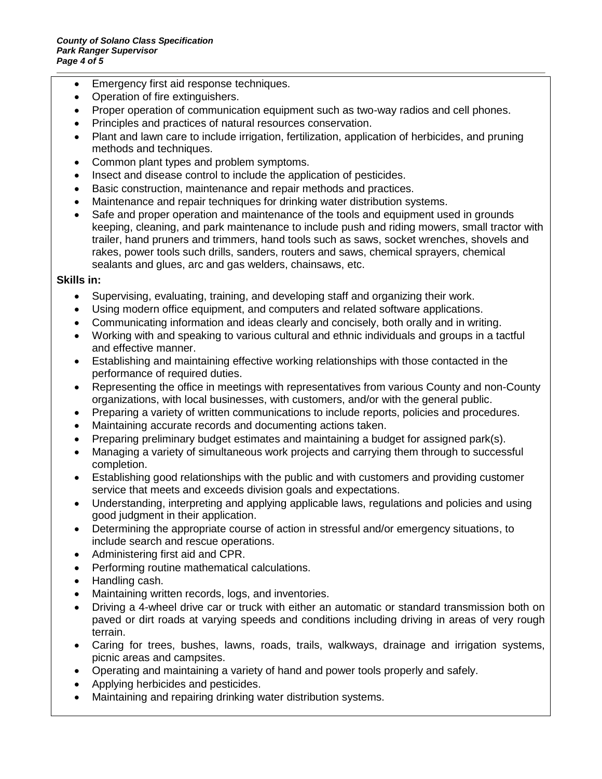- Emergency first aid response techniques.
- Operation of fire extinguishers.
- Proper operation of communication equipment such as two-way radios and cell phones.
- Principles and practices of natural resources conservation.
- Plant and lawn care to include irrigation, fertilization, application of herbicides, and pruning methods and techniques.
- Common plant types and problem symptoms.
- Insect and disease control to include the application of pesticides.
- Basic construction, maintenance and repair methods and practices.
- Maintenance and repair techniques for drinking water distribution systems.
- Safe and proper operation and maintenance of the tools and equipment used in grounds keeping, cleaning, and park maintenance to include push and riding mowers, small tractor with trailer, hand pruners and trimmers, hand tools such as saws, socket wrenches, shovels and rakes, power tools such drills, sanders, routers and saws, chemical sprayers, chemical sealants and glues, arc and gas welders, chainsaws, etc.

## **Skills in:**

- Supervising, evaluating, training, and developing staff and organizing their work.
- Using modern office equipment, and computers and related software applications.
- Communicating information and ideas clearly and concisely, both orally and in writing.
- Working with and speaking to various cultural and ethnic individuals and groups in a tactful and effective manner.
- Establishing and maintaining effective working relationships with those contacted in the performance of required duties.
- Representing the office in meetings with representatives from various County and non-County organizations, with local businesses, with customers, and/or with the general public.
- Preparing a variety of written communications to include reports, policies and procedures.
- Maintaining accurate records and documenting actions taken.
- Preparing preliminary budget estimates and maintaining a budget for assigned park(s).
- Managing a variety of simultaneous work projects and carrying them through to successful completion.
- Establishing good relationships with the public and with customers and providing customer service that meets and exceeds division goals and expectations.
- Understanding, interpreting and applying applicable laws, regulations and policies and using good judgment in their application.
- Determining the appropriate course of action in stressful and/or emergency situations, to include search and rescue operations.
- Administering first aid and CPR.
- Performing routine mathematical calculations.
- Handling cash.
- Maintaining written records, logs, and inventories.
- Driving a 4-wheel drive car or truck with either an automatic or standard transmission both on paved or dirt roads at varying speeds and conditions including driving in areas of very rough terrain.
- Caring for trees, bushes, lawns, roads, trails, walkways, drainage and irrigation systems, picnic areas and campsites.
- Operating and maintaining a variety of hand and power tools properly and safely.
- Applying herbicides and pesticides.
- Maintaining and repairing drinking water distribution systems.